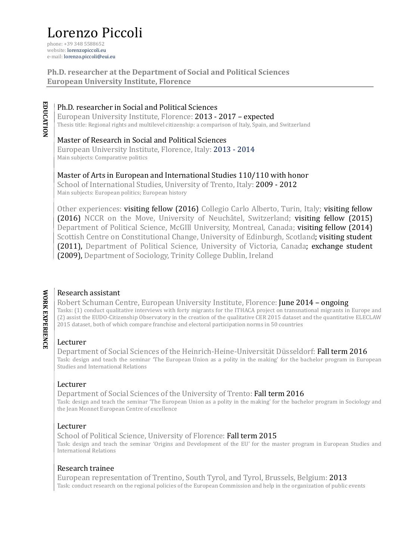# Lorenzo Piccoli

phone: +39 348 5588652 website: lorenzopiccoli.eu e-mail: lorenzo.piccoli@eui.eu

**Ph.D. researcher at the Department of Social and Political Sciences European University Institute, Florence**

## Ph.D. researcher in Social and Political Sciences

European University Institute, Florence: 2013 - 2017 - expected Thesis title: Regional rights and multilevel citizenship: a comparison of Italy, Spain, and Switzerland

### Master of Research in Social and Political Sciences

European University Institute, Florence, Italy: 2013 - 2014 Main subjects: Comparative politics

## Master of Arts in European and International Studies 110/110 with honor

School of International Studies, University of Trento, Italy: 2009 - 2012 Main subjects: European politics; European history

Other experiences: **visiting fellow** (2016) Collegio Carlo Alberto, Turin, Italy; **visiting fellow** (2016) NCCR on the Move, University of Neuchâtel, Switzerland; visiting fellow (2015) Department of Political Science, McGIll University, Montreal, Canada; visiting fellow (2014) Scottish Centre on Constitutional Change, University of Edinburgh, Scotland; visiting student (2011), Department of Political Science, University of Victoria, Canada; exchange student (2009), Department of Sociology, Trinity College Dublin, Ireland

**EDUCATION**

EDUCATION

## Research assistant

Robert Schuman Centre, European University Institute, Florence: **June 2014 – ongoing** Tasks: (1) conduct qualitative interviews with forty migrants for the ITHACA project on transnational migrants in Europe and (2) assist the EUDO-Citizenship Observatory in the creation of the qualitative CER 2015 dataset and the quantitative ELECLAW 2015 dataset, both of which compare franchise and electoral participation norms in 50 countries

## Lecturer

Department of Social Sciences of the Heinrich-Heine-Universität Düsseldorf: Fall term 2016 Task: design and teach the seminar 'The European Union as a polity in the making' for the bachelor program in European Studies and International Relations

## Lecturer

Department of Social Sciences of the University of Trento: Fall term 2016

Task: design and teach the seminar 'The European Union as a polity in the making' for the bachelor program in Sociology and the Jean Monnet European Centre of excellence

## Lecturer

School of Political Science, University of Florence: Fall term 2015

Task: design and teach the seminar 'Origins and Development of the EU' for the master program in European Studies and International Relations

#### Research trainee

European representation of Trentino, South Tyrol, and Tyrol, Brussels, Belgium: 2013 Task: conduct research on the regional policies of the European Commission and help in the organization of public events